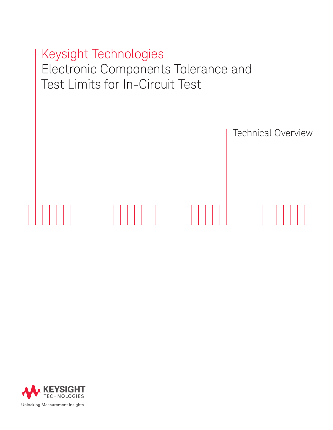# Keysight Technologies Electronic Components Tolerance and Test Limits for In-Circuit Test

Technical Overview

# 

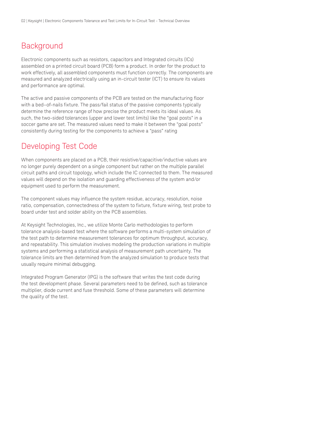## **Background**

Electronic components such as resistors, capacitors and Integrated circuits (ICs) assembled on a printed circuit board (PCB) form a product. In order for the product to work effectively, all assembled components must function correctly. The components are measured and analyzed electrically using an in-circuit tester (ICT) to ensure its values and performance are optimal.

The active and passive components of the PCB are tested on the manufacturing floor with a bed–of-nails fixture. The pass/fail status of the passive components typically determine the reference range of how precise the product meets its ideal values. As such, the two-sided tolerances (upper and lower test limits) like the "goal posts" in a soccer game are set. The measured values need to make it between the "goal posts" consistently during testing for the components to achieve a "pass" rating

### Developing Test Code

When components are placed on a PCB, their resistive/capacitive/inductive values are no longer purely dependent on a single component but rather on the multiple parallel circuit paths and circuit topology, which include the IC connected to them. The measured values will depend on the isolation and guarding effectiveness of the system and/or equipment used to perform the measurement.

The component values may influence the system residue, accuracy, resolution, noise ratio, compensation, connectedness of the system to fixture, fixture wiring, test probe to board under test and solder ability on the PCB assemblies.

At Keysight Technologies, Inc., we utilize Monte Carlo methodologies to perform tolerance analysis-based test where the software performs a multi-system simulation of the test path to determine measurement tolerances for optimum throughput, accuracy, and repeatability. This simulation involves modeling the production variations in multiple systems and performing a statistical analysis of measurement path uncertainty. The tolerance limits are then determined from the analyzed simulation to produce tests that usually require minimal debugging.

Integrated Program Generator (IPG) is the software that writes the test code during the test development phase. Several parameters need to be defined, such as tolerance multiplier, diode current and fuse threshold. Some of these parameters will determine the quality of the test.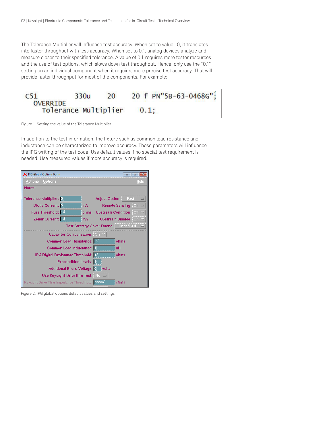The Tolerance Multiplier will influence test accuracy. When set to value 10, it translates into faster throughput with less accuracy. When set to 0.1, analog devices analyze and measure closer to their specified tolerance. A value of 0.1 requires more tester resources and the use of test options, which slows down test throughput. Hence, only use the "0.1" setting on an individual component when it requires more precise test accuracy. That will provide faster throughput for most of the components. For example:



Figure 1. Setting the value of the Tolerance Multiplier

In addition to the test information, the fixture such as common lead resistance and inductance can be characterized to improve accuracy. Those parameters will influence the IPG writing of the test code. Use default values if no special test requirement is needed. Use measured values if more accuracy is required.

| X IPG Global Options Form                                                 | $\Box$<br>$\mathbf{z}$<br>$\Box$          |  |
|---------------------------------------------------------------------------|-------------------------------------------|--|
| <b>Actions</b><br><b>Options</b>                                          | Help                                      |  |
| Notes:                                                                    |                                           |  |
| Tolerance Multiplier: 5                                                   | <b>Adjust Option:</b> Fast<br><b>FOUR</b> |  |
| Diode Current: E                                                          | Remote Sensing: On =<br>mA                |  |
| Fuse Threshold: 10                                                        | ohms<br>Upstream Condition: Off           |  |
| Zener Current: 10                                                         | Upstream Disable: On<br>mA                |  |
| Test Strategy Cover Extend: Undefined<br>$\overline{\phantom{a}}$         |                                           |  |
| Capacitor Compensation: On                                                |                                           |  |
| Common Lead Resistance:   5<br>ohms                                       |                                           |  |
| Common Lead Inductance: 1<br>uΗ                                           |                                           |  |
| IPG Digital Resistance Threshold: 42<br>ohms                              |                                           |  |
| <b>Precondition Levels:</b>                                               |                                           |  |
| Additional Board Voltage: 0<br>volts                                      |                                           |  |
| Use Keysight DriveThru Test: $\begin{bmatrix} N_0 & \cdots \end{bmatrix}$ |                                           |  |
| Keysight Drive Thru Impedance Threshhold: 10000<br>ohms                   |                                           |  |

Figure 2. IPG global options default values and settings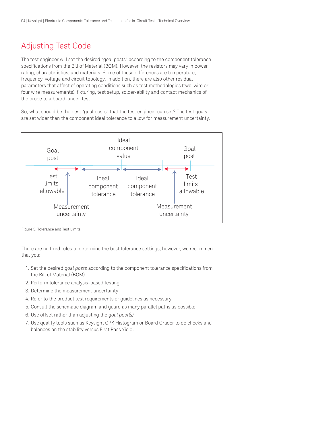# Adjusting Test Code

The test engineer will set the desired "goal posts" according to the component tolerance specifications from the Bill of Material (BOM). However, the resistors may vary in power rating, characteristics, and materials. Some of these differences are temperature, frequency, voltage and circuit topology. In addition, there are also other residual parameters that affect of operating conditions such as test methodologies (two-wire or four wire measurements), fixturing, test setup, solder-ability and contact mechanics of the probe to a board-under-test.

So, what should be the best "goal posts" that the test engineer can set? The test goals are set wider than the component ideal tolerance to allow for measurement uncertainty.



Figure 3. Tolerance and Test Limits

There are no fixed rules to determine the best tolerance settings; however, we recommend that you:

- 1. Set the desired *goal posts* according to the component tolerance specifications from the Bill of Material (BOM)
- 2. Perform tolerance analysis-based testing
- 3. Determine the measurement uncertainty
- 4. Refer to the product test requirements or guidelines as necessary
- 5. Consult the schematic diagram and guard as many parallel paths as possible.
- 6. Use offset rather than adjusting the *goal post(s)*
- 7. Use quality tools such as Keysight CPK Histogram or Board Grader to do checks and balances on the stability versus First Pass Yield.